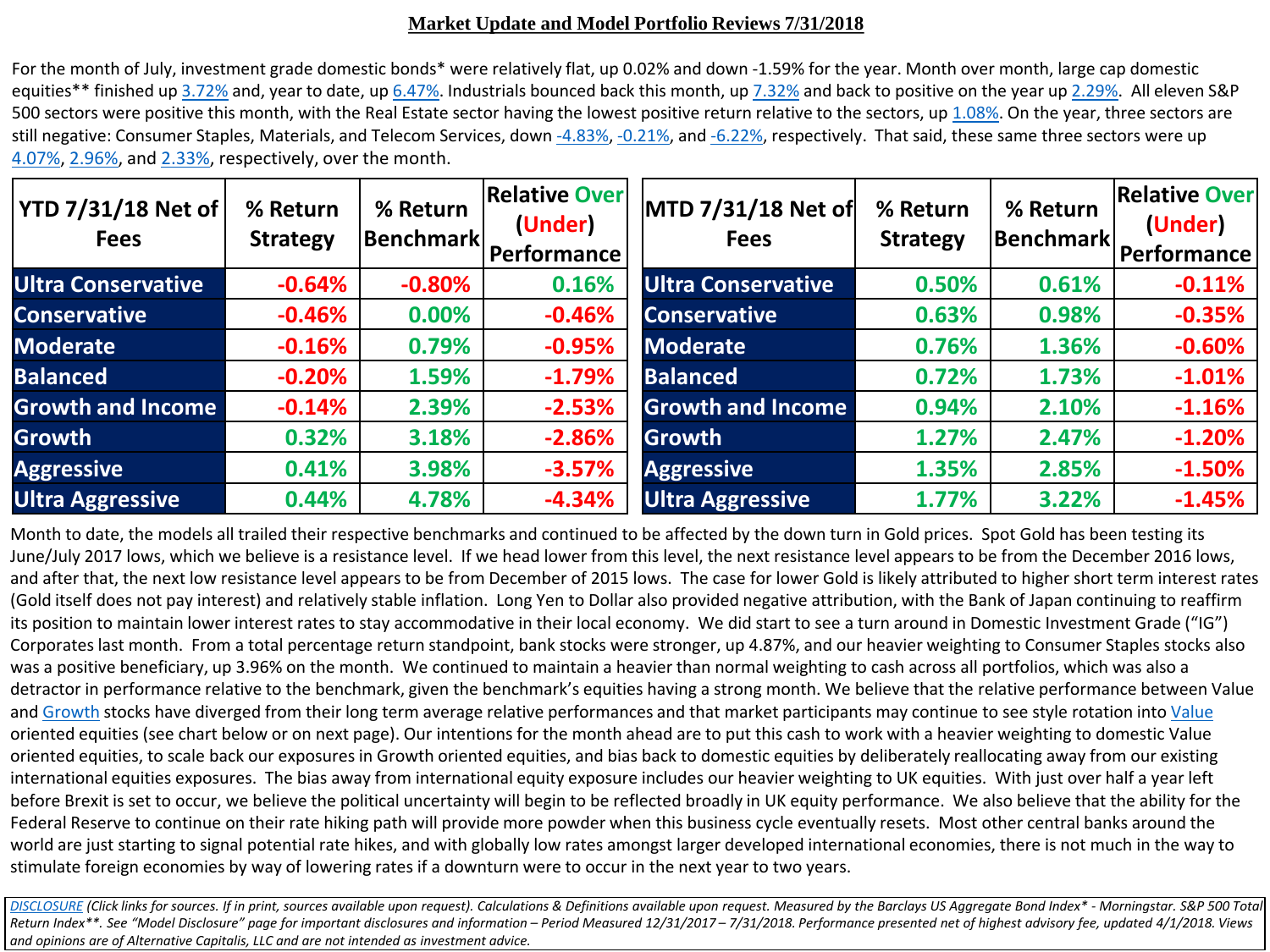### **Market Update and Model Portfolio Reviews 7/31/2018**

For the month of July, investment grade domestic bonds\* were relatively flat, up 0.02% and down -1.59% for the year. Month over month, large cap domestic equities\*\* finished up [3.72%](https://us.spindices.com/indices/equity/sp-500) and, year to date, up [6.47%](https://us.spindices.com/indices/equity/sp-500). Industrials bounced back this month, up [7.32%](https://us.spindices.com/indices/equity/sp-500-industrials-sector) and back to positive on the year up [2.29%.](https://us.spindices.com/indices/equity/sp-500-industrials-sector) All eleven S&P 500 sectors were positive this month, with the Real Estate sector having the lowest positive return relative to the sectors, up [1.08%](https://us.spindices.com/indices/equity/sp-500-real-estate-index). On the year, three sectors are still negative: Consumer Staples, Materials, and Telecom Services, down [-4.83%](https://us.spindices.com/indices/equity/sp-500-consumer-staples-sector), [-0.21%,](https://us.spindices.com/indices/equity/sp-500-materials-sector) and [-6.22%,](https://us.spindices.com/indices/equity/sp-500-telecommunication-services-sector) respectively. That said, these same three sectors were up [4.07%](https://us.spindices.com/indices/equity/sp-500-consumer-staples-sector), [2.96%,](https://us.spindices.com/indices/equity/sp-500-materials-sector) and [2.33%,](https://us.spindices.com/indices/equity/sp-500-telecommunication-services-sector) respectively, over the month.

| YTD 7/31/18 Net of<br><b>Fees</b> | % Return<br><b>Strategy</b> | % Return<br> Benchmark | <b>Relative Over</b><br>(Under)<br><b>Performance</b> | MTD 7/31/18 Net of<br><b>Fees</b> | % Return<br><b>Strategy</b> | % Return<br> Benchmark | <b>Relative Over</b><br>(Under)<br>Performance |
|-----------------------------------|-----------------------------|------------------------|-------------------------------------------------------|-----------------------------------|-----------------------------|------------------------|------------------------------------------------|
| <b>Ultra Conservative</b>         | $-0.64%$                    | $-0.80%$               | 0.16%                                                 | <b>Ultra Conservative</b>         | 0.50%                       | 0.61%                  | $-0.11%$                                       |
| <b>Conservative</b>               | $-0.46%$                    | 0.00%                  | $-0.46%$                                              | <b>Conservative</b>               | 0.63%                       | 0.98%                  | $-0.35%$                                       |
| <b>Moderate</b>                   | $-0.16%$                    | 0.79%                  | $-0.95%$                                              | <b>Moderate</b>                   | 0.76%                       | 1.36%                  | $-0.60%$                                       |
| <b>Balanced</b>                   | $-0.20%$                    | 1.59%                  | $-1.79%$                                              | <b>Balanced</b>                   | 0.72%                       | 1.73%                  | $-1.01%$                                       |
| <b>Growth and Income</b>          | $-0.14%$                    | 2.39%                  | $-2.53%$                                              | <b>Growth and Income</b>          | 0.94%                       | 2.10%                  | $-1.16%$                                       |
| <b>Growth</b>                     | 0.32%                       | 3.18%                  | $-2.86%$                                              | Growth                            | 1.27%                       | 2.47%                  | $-1.20%$                                       |
| <b>Aggressive</b>                 | 0.41%                       | 3.98%                  | $-3.57%$                                              | <b>Aggressive</b>                 | 1.35%                       | 2.85%                  | $-1.50%$                                       |
| <b>Ultra Aggressive</b>           | 0.44%                       | 4.78%                  | $-4.34%$                                              | <b>Ultra Aggressive</b>           | 1.77%                       | 3.22%                  | $-1.45%$                                       |

Month to date, the models all trailed their respective benchmarks and continued to be affected by the down turn in Gold prices. Spot Gold has been testing its June/July 2017 lows, which we believe is a resistance level. If we head lower from this level, the next resistance level appears to be from the December 2016 lows, and after that, the next low resistance level appears to be from December of 2015 lows. The case for lower Gold is likely attributed to higher short term interest rates (Gold itself does not pay interest) and relatively stable inflation. Long Yen to Dollar also provided negative attribution, with the Bank of Japan continuing to reaffirm its position to maintain lower interest rates to stay accommodative in their local economy. We did start to see a turn around in Domestic Investment Grade ("IG") Corporates last month. From a total percentage return standpoint, bank stocks were stronger, up 4.87%, and our heavier weighting to Consumer Staples stocks also was a positive beneficiary, up 3.96% on the month. We continued to maintain a heavier than normal weighting to cash across all portfolios, which was also a detractor in performance relative to the benchmark, given the benchmark's equities having a strong month. We believe that the relative performance between Value and [Growth](https://us.spindices.com/indices/equity/sp-500-growth) stocks have diverged from their long term average relative performances and that market participants may continue to see style rotation into [Value](https://us.spindices.com/indices/equity/sp-500-value) oriented equities (see chart below or on next page). Our intentions for the month ahead are to put this cash to work with a heavier weighting to domestic Value oriented equities, to scale back our exposures in Growth oriented equities, and bias back to domestic equities by deliberately reallocating away from our existing international equities exposures. The bias away from international equity exposure includes our heavier weighting to UK equities. With just over half a year left before Brexit is set to occur, we believe the political uncertainty will begin to be reflected broadly in UK equity performance. We also believe that the ability for the Federal Reserve to continue on their rate hiking path will provide more powder when this business cycle eventually resets. Most other central banks around the world are just starting to signal potential rate hikes, and with globally low rates amongst larger developed international economies, there is not much in the way to stimulate foreign economies by way of lowering rates if a downturn were to occur in the next year to two years.

[DISCLOSURE](https://www.altcapitalis.com/disclosure) (Click links for sources. If in print, sources available upon request). Calculations & Definitions available upon request. Measured by the Barclays US Aggregate Bond Index\* - Morningstar. S&P 500 Total *Return Index\*\*. See "Model Disclosure" page for important disclosures and information – Period Measured 12/31/2017 – 7/31/2018. Performance presented net of highest advisory fee, updated 4/1/2018. Views and opinions are of Alternative Capitalis, LLC and are not intended as investment advice.*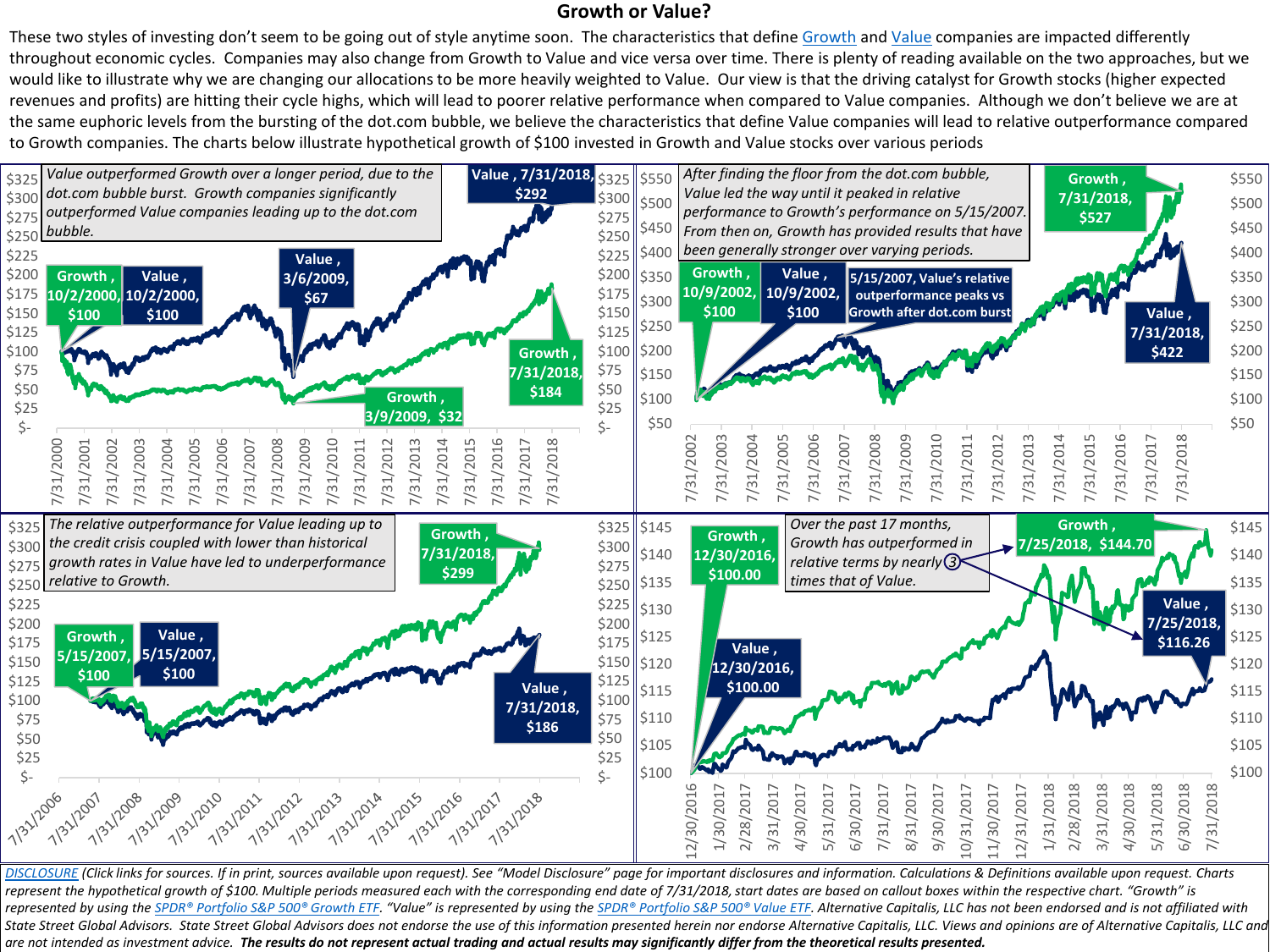## **Growth or Value?**

These two styles of investing don't seem to be going out of style anytime soon. The characteristics that define [Growth](https://us.spindices.com/indices/equity/sp-500-growth) and [Value](https://us.spindices.com/indices/equity/sp-500-value) companies are impacted differently throughout economic cycles. Companies may also change from Growth to Value and vice versa over time. There is plenty of reading available on the two approaches, but we would like to illustrate why we are changing our allocations to be more heavily weighted to Value. Our view is that the driving catalyst for Growth stocks (higher expected revenues and profits) are hitting their cycle highs, which will lead to poorer relative performance when compared to Value companies. Although we don't believe we are at the same euphoric levels from the bursting of the dot.com bubble, we believe the characteristics that define Value companies will lead to relative outperformance compared to Growth companies. The charts below illustrate hypothetical growth of \$100 invested in Growth and Value stocks over various periods



[DISCLOSURE](https://www.altcapitalis.com/disclosure) (Click links for sources. If in print, sources available upon request). See "Model Disclosure" page for important disclosures and information. Calculations & Definitions available upon request. Charts represent the hypothetical growth of \$100. Multiple periods measured each with the corresponding end date of 7/31/2018, start dates are based on callout boxes within the respective chart. "Growth" is represented by using the [SPDR® Portfolio S&P 500® Growth ETF](https://us.spdrs.com/en/etf/spdr-portfolio-sp-500-growth-etf-SPYG). "Value" is represented by using the [SPDR® Portfolio S&P 500® Value ETF.](https://us.spdrs.com/en/etf/spdr-portfolio-sp-500-value-etf-SPYV) Alternative Capitalis, LLC has not been endorsed and is not affiliated with State Street Global Advisors. State Street Global Advisors does not endorse the use of this information presented herein nor endorse Alternative Capitalis, LLC. Views and opinions are of Alternative Capitalis, LLC and *are not intended as investment advice. The results do not represent actual trading and actual results may significantly differ from the theoretical results presented.*